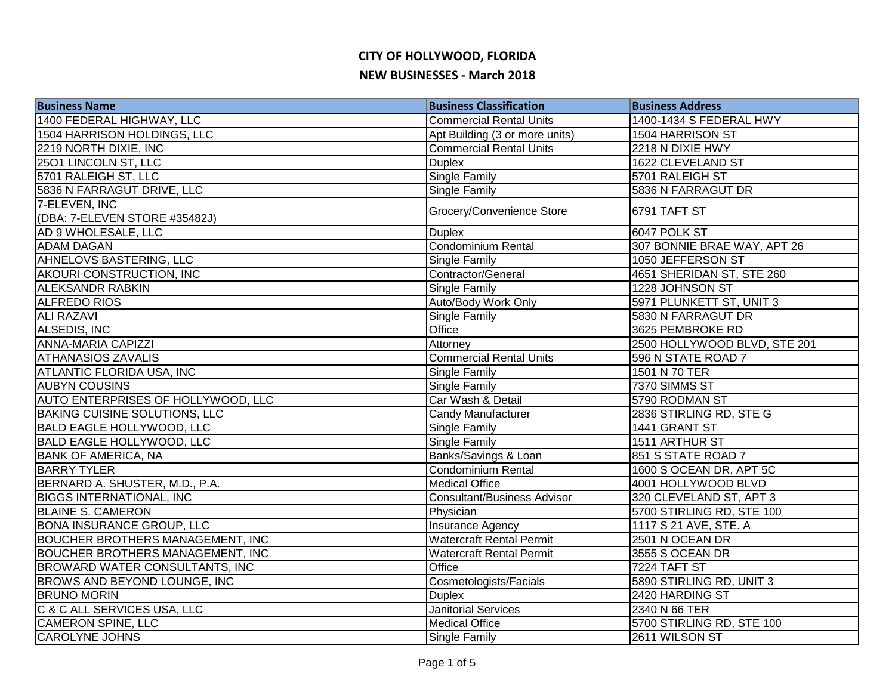| <b>Business Name</b>                    | <b>Business Classification</b>     | <b>Business Address</b>      |
|-----------------------------------------|------------------------------------|------------------------------|
| 1400 FEDERAL HIGHWAY, LLC               | <b>Commercial Rental Units</b>     | 1400-1434 S FEDERAL HWY      |
| 1504 HARRISON HOLDINGS, LLC             | Apt Building (3 or more units)     | 1504 HARRISON ST             |
| 2219 NORTH DIXIE, INC                   | <b>Commercial Rental Units</b>     | 2218 N DIXIE HWY             |
| 2501 LINCOLN ST, LLC                    | <b>Duplex</b>                      | 1622 CLEVELAND ST            |
| 5701 RALEIGH ST, LLC                    | <b>Single Family</b>               | 5701 RALEIGH ST              |
| 5836 N FARRAGUT DRIVE, LLC              | <b>Single Family</b>               | 5836 N FARRAGUT DR           |
| 7-ELEVEN, INC                           | Grocery/Convenience Store          | 6791 TAFT ST                 |
| (DBA: 7-ELEVEN STORE #35482J)           |                                    |                              |
| AD 9 WHOLESALE, LLC                     | <b>Duplex</b>                      | 6047 POLK ST                 |
| <b>ADAM DAGAN</b>                       | <b>Condominium Rental</b>          | 307 BONNIE BRAE WAY, APT 26  |
| AHNELOVS BASTERING, LLC                 | Single Family                      | 1050 JEFFERSON ST            |
| AKOURI CONSTRUCTION, INC                | Contractor/General                 | 4651 SHERIDAN ST, STE 260    |
| <b>ALEKSANDR RABKIN</b>                 | Single Family                      | 1228 JOHNSON ST              |
| ALFREDO RIOS                            | Auto/Body Work Only                | 5971 PLUNKETT ST, UNIT 3     |
| <b>ALI RAZAVI</b>                       | Single Family                      | 5830 N FARRAGUT DR           |
| <b>ALSEDIS, INC</b>                     | Office                             | 3625 PEMBROKE RD             |
| <b>ANNA-MARIA CAPIZZI</b>               | Attorney                           | 2500 HOLLYWOOD BLVD, STE 201 |
| <b>ATHANASIOS ZAVALIS</b>               | <b>Commercial Rental Units</b>     | 596 N STATE ROAD 7           |
| <b>ATLANTIC FLORIDA USA, INC</b>        | Single Family                      | 1501 N 70 TER                |
| <b>AUBYN COUSINS</b>                    | Single Family                      | 7370 SIMMS ST                |
| AUTO ENTERPRISES OF HOLLYWOOD, LLC      | Car Wash & Detail                  | 5790 RODMAN ST               |
| <b>BAKING CUISINE SOLUTIONS, LLC</b>    | <b>Candy Manufacturer</b>          | 2836 STIRLING RD, STE G      |
| <b>BALD EAGLE HOLLYWOOD, LLC</b>        | Single Family                      | 1441 GRANT ST                |
| <b>BALD EAGLE HOLLYWOOD, LLC</b>        | <b>Single Family</b>               | 1511 ARTHUR ST               |
| <b>BANK OF AMERICA, NA</b>              | Banks/Savings & Loan               | 851 S STATE ROAD 7           |
| <b>BARRY TYLER</b>                      | Condominium Rental                 | 1600 S OCEAN DR, APT 5C      |
| BERNARD A. SHUSTER, M.D., P.A.          | <b>Medical Office</b>              | 4001 HOLLYWOOD BLVD          |
| <b>BIGGS INTERNATIONAL, INC</b>         | <b>Consultant/Business Advisor</b> | 320 CLEVELAND ST, APT 3      |
| <b>BLAINE S. CAMERON</b>                | Physician                          | 5700 STIRLING RD, STE 100    |
| <b>BONA INSURANCE GROUP, LLC</b>        | Insurance Agency                   | 1117 S 21 AVE, STE. A        |
| <b>BOUCHER BROTHERS MANAGEMENT, INC</b> | <b>Watercraft Rental Permit</b>    | 2501 N OCEAN DR              |
| <b>BOUCHER BROTHERS MANAGEMENT, INC</b> | <b>Watercraft Rental Permit</b>    | 3555 S OCEAN DR              |
| <b>BROWARD WATER CONSULTANTS, INC</b>   | Office                             | 7224 TAFT ST                 |
| BROWS AND BEYOND LOUNGE, INC            | Cosmetologists/Facials             | 5890 STIRLING RD, UNIT 3     |
| <b>BRUNO MORIN</b>                      | <b>Duplex</b>                      | 2420 HARDING ST              |
| C & C ALL SERVICES USA, LLC             | <b>Janitorial Services</b>         | 2340 N 66 TER                |
| <b>CAMERON SPINE, LLC</b>               | <b>Medical Office</b>              | 5700 STIRLING RD, STE 100    |
| <b>CAROLYNE JOHNS</b>                   | <b>Single Family</b>               | 2611 WILSON ST               |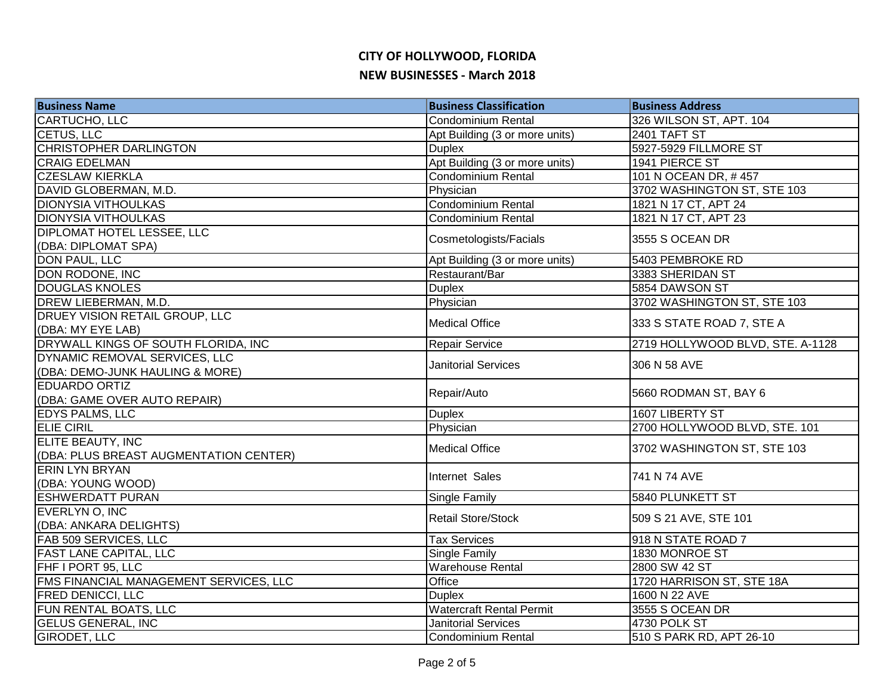| <b>Business Name</b>                                             | <b>Business Classification</b>  | <b>Business Address</b>          |
|------------------------------------------------------------------|---------------------------------|----------------------------------|
| CARTUCHO, LLC                                                    | Condominium Rental              | 326 WILSON ST, APT. 104          |
| CETUS, LLC                                                       | Apt Building (3 or more units)  | 2401 TAFT ST                     |
| <b>CHRISTOPHER DARLINGTON</b>                                    | <b>Duplex</b>                   | 5927-5929 FILLMORE ST            |
| <b>CRAIG EDELMAN</b>                                             | Apt Building (3 or more units)  | 1941 PIERCE ST                   |
| <b>CZESLAW KIERKLA</b>                                           | Condominium Rental              | 101 N OCEAN DR, #457             |
| DAVID GLOBERMAN, M.D.                                            | Physician                       | 3702 WASHINGTON ST, STE 103      |
| <b>DIONYSIA VITHOULKAS</b>                                       | Condominium Rental              | 1821 N 17 CT, APT 24             |
| <b>DIONYSIA VITHOULKAS</b>                                       | Condominium Rental              | 1821 N 17 CT, APT 23             |
| DIPLOMAT HOTEL LESSEE, LLC                                       | Cosmetologists/Facials          | 3555 S OCEAN DR                  |
| (DBA: DIPLOMAT SPA)                                              |                                 |                                  |
| DON PAUL, LLC                                                    | Apt Building (3 or more units)  | 5403 PEMBROKE RD                 |
| DON RODONE, INC                                                  | Restaurant/Bar                  | 3383 SHERIDAN ST                 |
| <b>DOUGLAS KNOLES</b>                                            | <b>Duplex</b>                   | 5854 DAWSON ST                   |
| DREW LIEBERMAN, M.D.                                             | Physician                       | 3702 WASHINGTON ST, STE 103      |
| DRUEY VISION RETAIL GROUP, LLC<br>(DBA: MY EYE LAB)              | <b>Medical Office</b>           | 333 S STATE ROAD 7, STE A        |
| DRYWALL KINGS OF SOUTH FLORIDA, INC                              | <b>Repair Service</b>           | 2719 HOLLYWOOD BLVD, STE. A-1128 |
| DYNAMIC REMOVAL SERVICES, LLC<br>(DBA: DEMO-JUNK HAULING & MORE) | <b>Janitorial Services</b>      | 306 N 58 AVE                     |
| <b>EDUARDO ORTIZ</b>                                             |                                 |                                  |
| (DBA: GAME OVER AUTO REPAIR)                                     | Repair/Auto                     | 5660 RODMAN ST, BAY 6            |
| <b>EDYS PALMS, LLC</b>                                           | <b>Duplex</b>                   | 1607 LIBERTY ST                  |
| <b>ELIE CIRIL</b>                                                | Physician                       | 2700 HOLLYWOOD BLVD, STE. 101    |
| ELITE BEAUTY, INC<br>(DBA: PLUS BREAST AUGMENTATION CENTER)      | <b>Medical Office</b>           | 3702 WASHINGTON ST, STE 103      |
| <b>ERIN LYN BRYAN</b><br>(DBA: YOUNG WOOD)                       | Internet Sales                  | 741 N 74 AVE                     |
| <b>ESHWERDATT PURAN</b>                                          | <b>Single Family</b>            | <b>5840 PLUNKETT ST</b>          |
| EVERLYN O, INC                                                   |                                 |                                  |
| (DBA: ANKARA DELIGHTS)                                           | <b>Retail Store/Stock</b>       | 509 S 21 AVE, STE 101            |
| FAB 509 SERVICES, LLC                                            | <b>Tax Services</b>             | 918 N STATE ROAD 7               |
| <b>FAST LANE CAPITAL, LLC</b>                                    | <b>Single Family</b>            | 1830 MONROE ST                   |
| FHF I PORT 95, LLC                                               | <b>Warehouse Rental</b>         | 2800 SW 42 ST                    |
| FMS FINANCIAL MANAGEMENT SERVICES, LLC                           | Office                          | 1720 HARRISON ST, STE 18A        |
| <b>FRED DENICCI, LLC</b>                                         | <b>Duplex</b>                   | 1600 N 22 AVE                    |
| FUN RENTAL BOATS, LLC                                            | <b>Watercraft Rental Permit</b> | 3555 S OCEAN DR                  |
| <b>GELUS GENERAL, INC</b>                                        | <b>Janitorial Services</b>      | 4730 POLK ST                     |
| GIRODET, LLC                                                     | Condominium Rental              | 510 S PARK RD, APT 26-10         |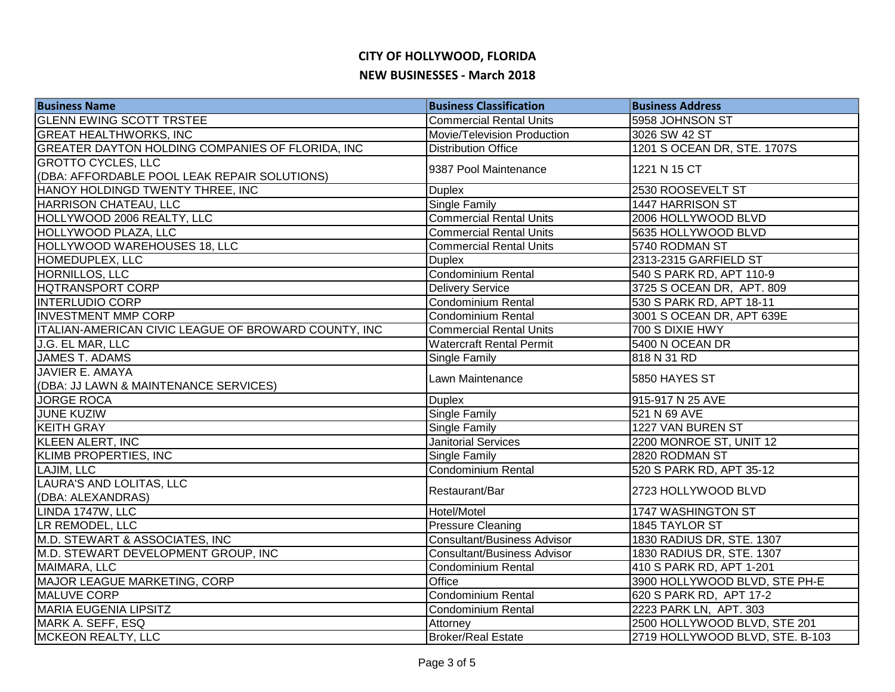| <b>Business Name</b>                                 | <b>Business Classification</b>     | <b>Business Address</b>         |
|------------------------------------------------------|------------------------------------|---------------------------------|
| <b>GLENN EWING SCOTT TRSTEE</b>                      | <b>Commercial Rental Units</b>     | 5958 JOHNSON ST                 |
| <b>GREAT HEALTHWORKS, INC</b>                        | Movie/Television Production        | 3026 SW 42 ST                   |
| GREATER DAYTON HOLDING COMPANIES OF FLORIDA, INC     | <b>Distribution Office</b>         | 1201 S OCEAN DR, STE. 1707S     |
| <b>GROTTO CYCLES, LLC</b>                            | 9387 Pool Maintenance              | 1221 N 15 CT                    |
| (DBA: AFFORDABLE POOL LEAK REPAIR SOLUTIONS)         |                                    |                                 |
| HANOY HOLDINGD TWENTY THREE, INC                     | <b>Duplex</b>                      | 2530 ROOSEVELT ST               |
| HARRISON CHATEAU, LLC                                | <b>Single Family</b>               | 1447 HARRISON ST                |
| HOLLYWOOD 2006 REALTY, LLC                           | <b>Commercial Rental Units</b>     | 2006 HOLLYWOOD BLVD             |
| HOLLYWOOD PLAZA, LLC                                 | <b>Commercial Rental Units</b>     | 5635 HOLLYWOOD BLVD             |
| HOLLYWOOD WAREHOUSES 18, LLC                         | <b>Commercial Rental Units</b>     | 5740 RODMAN ST                  |
| HOMEDUPLEX, LLC                                      | <b>Duplex</b>                      | 2313-2315 GARFIELD ST           |
| HORNILLOS, LLC                                       | Condominium Rental                 | 540 S PARK RD, APT 110-9        |
| <b>HQTRANSPORT CORP</b>                              | <b>Delivery Service</b>            | 3725 S OCEAN DR, APT. 809       |
| <b>INTERLUDIO CORP</b>                               | Condominium Rental                 | 530 S PARK RD, APT 18-11        |
| <b>INVESTMENT MMP CORP</b>                           | Condominium Rental                 | 3001 S OCEAN DR, APT 639E       |
| ITALIAN-AMERICAN CIVIC LEAGUE OF BROWARD COUNTY, INC | <b>Commercial Rental Units</b>     | 700 S DIXIE HWY                 |
| J.G. EL MAR, LLC                                     | <b>Watercraft Rental Permit</b>    | 5400 N OCEAN DR                 |
| <b>JAMES T. ADAMS</b>                                | <b>Single Family</b>               | 818 N 31 RD                     |
| <b>JAVIER E. AMAYA</b>                               | Lawn Maintenance                   |                                 |
| (DBA: JJ LAWN & MAINTENANCE SERVICES)                |                                    | 5850 HAYES ST                   |
| <b>JORGE ROCA</b>                                    | <b>Duplex</b>                      | 915-917 N 25 AVE                |
| <b>JUNE KUZIW</b>                                    | Single Family                      | 521 N 69 AVE                    |
| <b>KEITH GRAY</b>                                    | Single Family                      | 1227 VAN BUREN ST               |
| <b>KLEEN ALERT, INC</b>                              | <b>Janitorial Services</b>         | 2200 MONROE ST, UNIT 12         |
| <b>KLIMB PROPERTIES, INC</b>                         | Single Family                      | 2820 RODMAN ST                  |
| LAJIM, LLC                                           | <b>Condominium Rental</b>          | 520 S PARK RD, APT 35-12        |
| LAURA'S AND LOLITAS, LLC                             | Restaurant/Bar                     | 2723 HOLLYWOOD BLVD             |
| (DBA: ALEXANDRAS)                                    |                                    |                                 |
| LINDA 1747W, LLC                                     | Hotel/Motel                        | 1747 WASHINGTON ST              |
| LR REMODEL, LLC                                      | <b>Pressure Cleaning</b>           | 1845 TAYLOR ST                  |
| M.D. STEWART & ASSOCIATES, INC                       | <b>Consultant/Business Advisor</b> | 1830 RADIUS DR, STE. 1307       |
| M.D. STEWART DEVELOPMENT GROUP, INC                  | <b>Consultant/Business Advisor</b> | 1830 RADIUS DR, STE. 1307       |
| MAIMARA, LLC                                         | Condominium Rental                 | 410 S PARK RD, APT 1-201        |
| MAJOR LEAGUE MARKETING, CORP                         | Office                             | 3900 HOLLYWOOD BLVD, STE PH-E   |
| MALUVE CORP                                          | Condominium Rental                 | 620 S PARK RD, APT 17-2         |
| MARIA EUGENIA LIPSITZ                                | <b>Condominium Rental</b>          | 2223 PARK LN, APT. 303          |
| MARK A. SEFF, ESQ                                    | Attorney                           | 2500 HOLLYWOOD BLVD, STE 201    |
| MCKEON REALTY, LLC                                   | <b>Broker/Real Estate</b>          | 2719 HOLLYWOOD BLVD, STE. B-103 |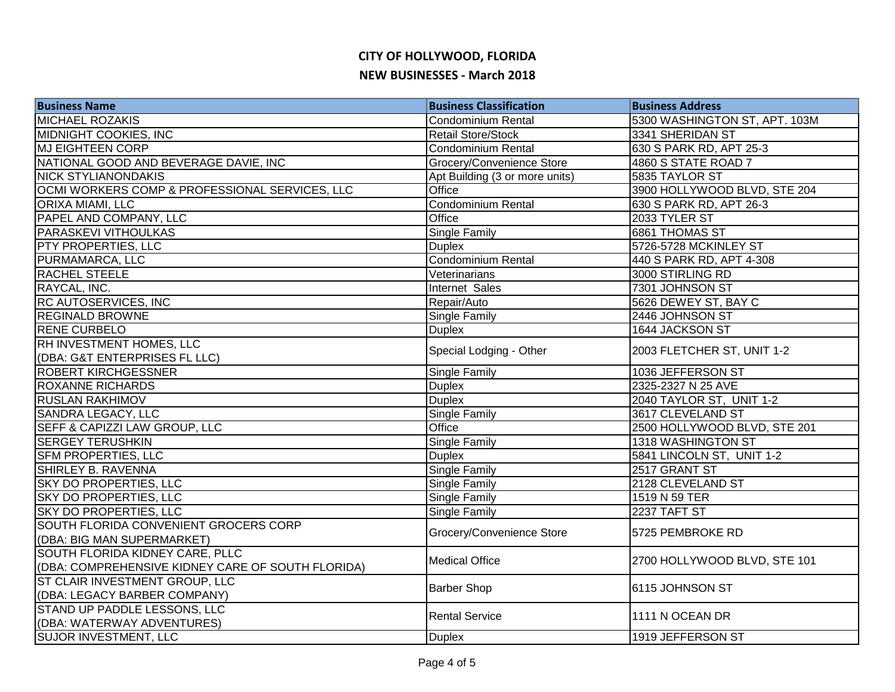| <b>Business Name</b>                              | <b>Business Classification</b> | <b>Business Address</b>       |
|---------------------------------------------------|--------------------------------|-------------------------------|
| <b>MICHAEL ROZAKIS</b>                            | <b>Condominium Rental</b>      | 5300 WASHINGTON ST, APT. 103M |
| <b>MIDNIGHT COOKIES, INC</b>                      | <b>Retail Store/Stock</b>      | 3341 SHERIDAN ST              |
| <b>MJ EIGHTEEN CORP</b>                           | Condominium Rental             | 630 S PARK RD, APT 25-3       |
| NATIONAL GOOD AND BEVERAGE DAVIE, INC             | Grocery/Convenience Store      | 4860 S STATE ROAD 7           |
| <b>NICK STYLIANONDAKIS</b>                        | Apt Building (3 or more units) | 5835 TAYLOR ST                |
| OCMI WORKERS COMP & PROFESSIONAL SERVICES, LLC    | Office                         | 3900 HOLLYWOOD BLVD, STE 204  |
| ORIXA MIAMI, LLC                                  | <b>Condominium Rental</b>      | 630 S PARK RD, APT 26-3       |
| PAPEL AND COMPANY, LLC                            | Office                         | 2033 TYLER ST                 |
| PARASKEVI VITHOULKAS                              | Single Family                  | 6861 THOMAS ST                |
| PTY PROPERTIES, LLC                               | <b>Duplex</b>                  | 5726-5728 MCKINLEY ST         |
| PURMAMARCA, LLC                                   | <b>Condominium Rental</b>      | 440 S PARK RD, APT 4-308      |
| <b>RACHEL STEELE</b>                              | Veterinarians                  | 3000 STIRLING RD              |
| RAYCAL, INC.                                      | Internet Sales                 | 7301 JOHNSON ST               |
| RC AUTOSERVICES, INC                              | Repair/Auto                    | 5626 DEWEY ST, BAY C          |
| <b>REGINALD BROWNE</b>                            | Single Family                  | 2446 JOHNSON ST               |
| <b>RENE CURBELO</b>                               | <b>Duplex</b>                  | 1644 JACKSON ST               |
| RH INVESTMENT HOMES, LLC                          | Special Lodging - Other        | 2003 FLETCHER ST, UNIT 1-2    |
| (DBA: G&T ENTERPRISES FL LLC)                     |                                |                               |
| <b>ROBERT KIRCHGESSNER</b>                        | Single Family                  | 1036 JEFFERSON ST             |
| <b>ROXANNE RICHARDS</b>                           | <b>Duplex</b>                  | 2325-2327 N 25 AVE            |
| <b>RUSLAN RAKHIMOV</b>                            | <b>Duplex</b>                  | 2040 TAYLOR ST, UNIT 1-2      |
| SANDRA LEGACY, LLC                                | Single Family                  | 3617 CLEVELAND ST             |
| SEFF & CAPIZZI LAW GROUP, LLC                     | Office                         | 2500 HOLLYWOOD BLVD, STE 201  |
| <b>SERGEY TERUSHKIN</b>                           | Single Family                  | 1318 WASHINGTON ST            |
| <b>SFM PROPERTIES, LLC</b>                        | <b>Duplex</b>                  | 5841 LINCOLN ST, UNIT 1-2     |
| <b>SHIRLEY B. RAVENNA</b>                         | Single Family                  | 2517 GRANT ST                 |
| <b>SKY DO PROPERTIES, LLC</b>                     | Single Family                  | 2128 CLEVELAND ST             |
| <b>SKY DO PROPERTIES, LLC</b>                     | <b>Single Family</b>           | 1519 N 59 TER                 |
| SKY DO PROPERTIES, LLC                            | Single Family                  | 2237 TAFT ST                  |
| <b>SOUTH FLORIDA CONVENIENT GROCERS CORP</b>      | Grocery/Convenience Store      | 5725 PEMBROKE RD              |
| (DBA: BIG MAN SUPERMARKET)                        |                                |                               |
| SOUTH FLORIDA KIDNEY CARE, PLLC                   | <b>Medical Office</b>          | 2700 HOLLYWOOD BLVD, STE 101  |
| (DBA: COMPREHENSIVE KIDNEY CARE OF SOUTH FLORIDA) |                                |                               |
| ST CLAIR INVESTMENT GROUP, LLC                    |                                | 6115 JOHNSON ST               |
| (DBA: LEGACY BARBER COMPANY)                      | <b>Barber Shop</b>             |                               |
| STAND UP PADDLE LESSONS, LLC                      | <b>Rental Service</b>          | 1111 N OCEAN DR               |
| (DBA: WATERWAY ADVENTURES)                        |                                |                               |
| <b>SUJOR INVESTMENT, LLC</b>                      | <b>Duplex</b>                  | 1919 JEFFERSON ST             |